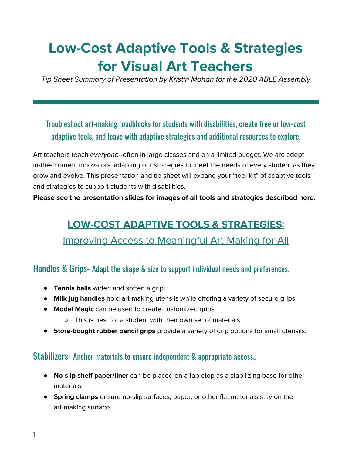## **Low-Cost Adaptive Tools & Strategies for Visual Art Teachers**

Tip Sheet Summary of Presentation by Kristin Mohan for the 2020 ABLE Assembly

## Troubleshoot art-making roadblocks for students with disabilities, create free or low-cost adaptive tools, and leave with adaptive strategies and additional resources to explore.

Art teachers teach everyone--often in large classes and on a limited budget. We are adept in-the-moment innovators, adapting our strategies to meet the needs of every student as they grow and evolve. This presentation and tip sheet will expand your "tool kit" of adaptive tools and strategies to support students with disabilities.

 **Please see the presentation slides for images of all tools and strategies described here.**

# **LOW-COST ADAPTIVE TOOLS & STRATEGIES**:-

## Improving Access to Meaningful Art-Making for All

#### Handles & Grips- Adapt the shape & size to support individual needs and preferences.

- **Tennis balls** widen and soften a grip.
- **Milk jug handles** hold art-making utensils while offering a variety of secure grips.
- ● **Model Magic** can be used to create customized grips.
	- This is best for a student with their own set of materials.
- **Store-bought rubber pencil grips** provide a variety of grip options for small utensils.

#### Stabilizers- Anchor materials to ensure independent & appropriate access..

- **No-slip shelf paper/liner** can be placed on a tabletop as a stabilizing base for other materials.
- ● **Spring clamps** ensure no-slip surfaces, paper, or other flat materials stay on the art-making surface.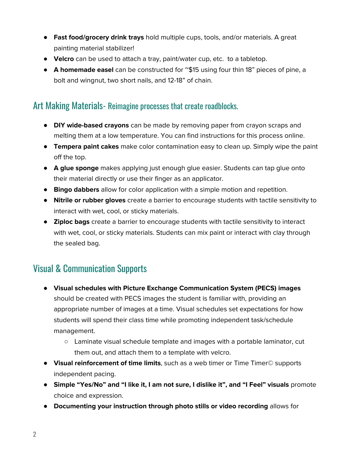- **Fast food/grocery drink trays** hold multiple cups, tools, and/or materials. A great painting material stabilizer!
- **Velcro** can be used to attach a tray, paint/water cup, etc. to a tabletop.
- **A homemade easel** can be constructed for ~\$15 using four thin 18" pieces of pine, a bolt and wingnut, two short nails, and 12-18" of chain.

#### Art Making Materials- Reimagine processes that create roadblocks.

- ● **DIY wide-based crayons** can be made by removing paper from crayon scraps and melting them at a low temperature. You can find instructions for this process online.
- **Tempera paint cakes** make color contamination easy to clean up. Simply wipe the paint off the top.
- **A glue sponge** makes applying just enough glue easier. Students can tap glue onto their material directly or use their finger as an applicator.
- **Bingo dabbers** allow for color application with a simple motion and repetition.
- **Nitrile or rubber gloves** create a barrier to encourage students with tactile sensitivity to interact with wet, cool, or sticky materials.
- ● **Ziploc bags** create a barrier to encourage students with tactile sensitivity to interact with wet, cool, or sticky materials. Students can mix paint or interact with clay through the sealed bag.

## Visual- &- Communication- Supports-

- **Visual schedules with Picture Exchange Communication System (PECS) images** should be created with PECS images the student is familiar with, providing an appropriate number of images at a time. Visual schedules set expectations for how students will spend their class time while promoting independent task/schedule management.
	- ○ Laminate visual schedule template and images with a portable laminator, cut them out, and attach them to a template with velcro.
- **Visual reinforcement of time limits**, such as a web timer or Time Timer© supports independent pacing.
- **Simple "Yes/No" and "I like it, I am not sure, I dislike it", and "I Feel" visuals** promote choice and expression.
- **Documenting your instruction through photo stills or video recording** allows for